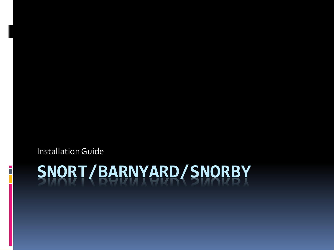Installation Guide

# **SNORT/BARNYARD/SNORBY**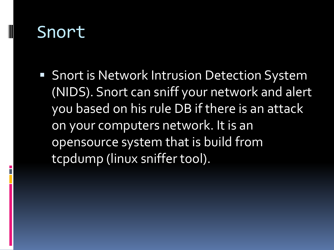# Snort

**Snort is Network Intrusion Detection System** (NIDS). Snort can sniff your network and alert you based on his rule DB if there is an attack on your computers network. It is an opensource system that is build from tcpdump (linux sniffer tool).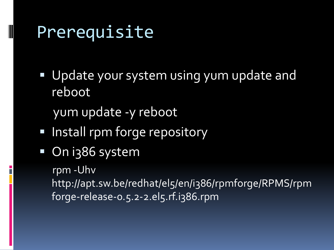# Prerequisite

- Update your system using yum update and reboot
	- yum update -y reboot
- **Install rpm forge repository**
- On i386 system

rpm -Uhv

http://apt.sw.be/redhat/el5/en/i386/rpmforge/RPMS/rpm forge-release-0.5.2-2.el5.rf.i386.rpm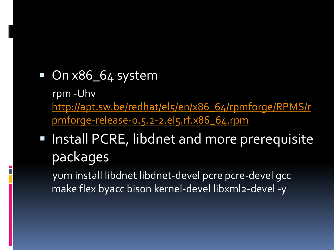## On x86\_64 system rpm-Uhv http://apt.sw.be/redhat/el5/en/x86\_64/rpmforge/RPMS/r pmforge-release-o.5.2-2.el5.rf.x86\_64.rpm

# • Install PCRE, libdnet and more prerequisite packages

yum install libdnet libdnet-devel pcre pcre-devel gcc make flex byacc bison kernel-devel libxml2-devel -y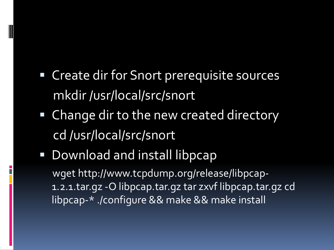# Create dir for Snort prerequisite sources mkdir /usr/local/src/snort

- Change dir to the new created directory cd /usr/local/src/snort
- **Download and install libpcap** wget http://www.tcpdump.org/release/libpcap-1.2.1.tar.gz -O libpcap.tar.gz tar zxvf libpcap.tar.gz cd libpcap-\* ./configure && make && make install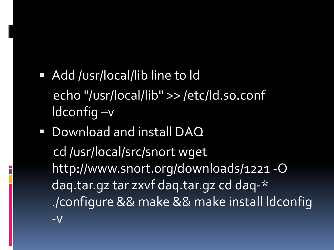- Add /usr/local/lib line to ld echo "/usr/local/lib" >> /etc/ld.so.conf  $Id$ config  $-v$
- Download and install DAQ cd/usr/local/src/snort wget http://www.snort.org/downloads/1221-O dag.tar.gz tar zxvf dag.tar.gz cd dag-\* ./configure && make && make install Idconfig  $-V$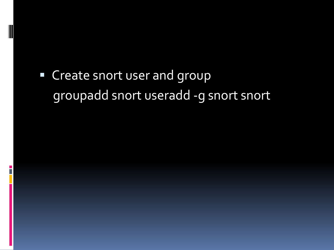# " Create snort user and group groupadd snort useradd -g snort snort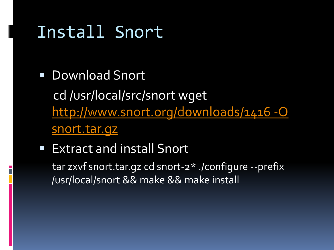# Install Snort

- Download Snort cd/usr/local/src/snort wget http://www.snort.org/downloads/1416-0 snort.tar.qz
- **Extract and install Snort** tar zxvf snort.tar.qz cd snort-2\* ./configure --prefix /usr/local/snort && make && make install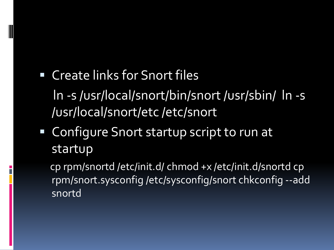# Create links for Snort files ln -s /usr/local/snort/bin/snort /usr/sbin/ ln -s /usr/local/snort/etc /etc/snort

■ Configure Snort startup script to run at startup

cp rpm/snortd /etc/init.d/ chmod +x /etc/init.d/snortd cp rpm/snort.sysconfig /etc/sysconfig/snort chkconfig --add snortd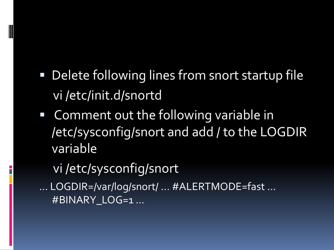- Delete following lines from snort startup file vi /etc/init.d/snortd
- Comment out the following variable in /etc/sysconfig/snort and add / to the LOGDIR variable
	- vi /etc/sysconfig/snort
- ... LOGDIR=/var/log/snort/ ... #ALERTMODE=fast ... #BINARY\_LOG=1 ...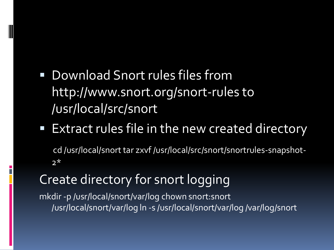- Download Snort rules files from http://www.snort.org/snort-rules to /usr/local/src/snort
- **Extract rules file in the new created directory** cd /usr/local/snort tar zxvf /usr/local/src/snort/snortrules-snapshot- $2*$

### Create directory for snort logging

mkdir -p /usr/local/snort/var/log chown snort:snort /usr/local/snort/var/log ln -s /usr/local/snort/var/log /var/log/snort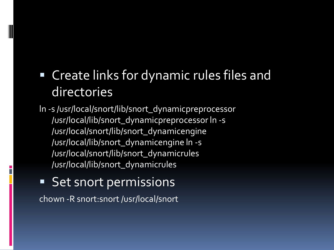# Create links for dynamic rules files and directories

ln -s /usr/local/snort/lib/snort\_dynamicpreprocessor /usr/local/lib/snort\_dynamicpreprocessor ln -s /usr/local/snort/lib/snort\_dynamicengine /usr/local/lib/snort\_dynamicengine ln -s /usr/local/snort/lib/snort\_dynamicrules /usr/local/lib/snort\_dynamicrules

**Set snort permissions** chown -R snort:snort /usr/local/snort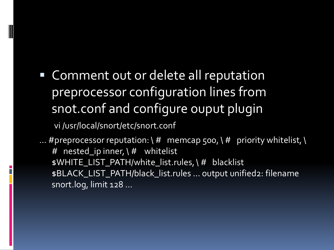Comment out or delete all reputation preprocessor configuration lines from snot.conf and configure ouput plugin

vi /usr/local/snort/etc/snort.conf

... #preprocessor reputation:  $\forall$  # memcap 500,  $\forall$  # priority whitelist,  $\setminus$ # nested\_ip inner,  $\left(\frac{H}{H}\right)$  whitelist \$WHITE\_LIST\_PATH/white\_list.rules, \ # blacklist \$BLACK\_LIST\_PATH/black\_list.rules ... output unified2: filename snort.log, limit 128 ...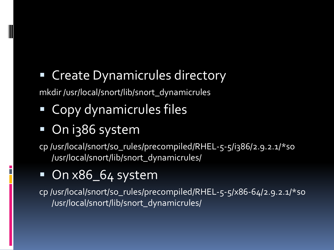# Create Dynamicrules directory

mkdir /usr/local/snort/lib/snort\_dynamicrules

- Copy dynamicrules files
- On i386 system

cp /usr/local/snort/so\_rules/precompiled/RHEL-5-5/i386/2.9.2.1/\*so /usr/local/snort/lib/snort\_dynamicrules/

# On x86\_64 system

cp /usr/local/snort/so\_rules/precompiled/RHEL-5-5/x86-64/2.9.2.1/\*so /usr/local/snort/lib/snort\_dynamicrules/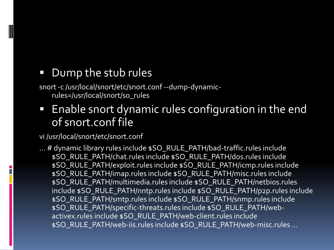#### Dump the stub rules

snort -c /usr/local/snort/etc/snort.conf --dump-dynamicrules=/usr/local/snort/so\_rules

**Enable snort dynamic rules configuration in the end** of snort.conf file

#### vi /usr/local/snort/etc/snort.conf

... # dynamic library rules include \$SO\_RULE\_PATH/bad-traffic.rules include \$SO\_RULE\_PATH/chat.rules include \$SO\_RULE\_PATH/dos.rules include \$SO\_RULE\_PATH/exploit.rules include \$SO\_RULE\_PATH/icmp.rules include \$SO\_RULE\_PATH/imap.rules include \$SO\_RULE\_PATH/misc.rules include \$SO\_RULE\_PATH/multimedia.rules include \$SO\_RULE\_PATH/netbios.rules include \$SO\_RULE\_PATH/nntp.rules include \$SO\_RULE\_PATH/p2p.rules include \$SO\_RULE\_PATH/smtp.rules include \$SO\_RULE\_PATH/snmp.rules include \$SO\_RULE\_PATH/specific-threats.rules include \$SO\_RULE\_PATH/webactivex.rules include \$SO\_RULE\_PATH/web-client.rules include \$SO\_RULE\_PATH/web-iis.rules include \$SO\_RULE\_PATH/web-misc.rules ...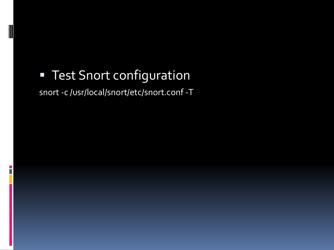# **FI Test Snort configuration**

 $\overline{\phantom{a}}$ 

#### snort -c /usr/local/snort/etc/snort.conf -T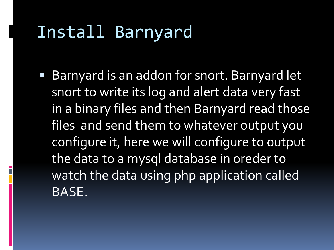# Install Barnyard

■ Barnyard is an addon for snort. Barnyard let snort to write its log and alert data very fast in a binary files and then Barnyard read those files and send them to whatever output you configure it, here we will configure to output the data to a mysql database in oreder to watch the data using php application called BASE.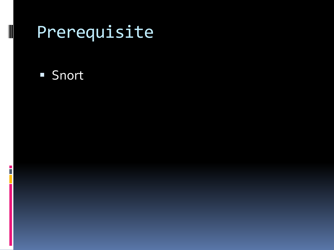# Prerequisite

#### **Snort**

E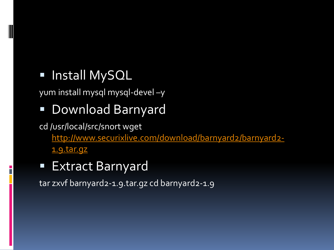### **Install MySQL**

yum install mysql mysql-devel –y

# Download Barnyard

cd /usr/local/src/snort wget [http://www.securixlive.com/download/barnyard2/barnyard2-](http://www.securixlive.com/download/barnyard2/barnyard2-1.9.tar.gz) 1.9.tar.gz

### ■ Extract Barnyard

tar zxvf barnyard2-1.9.tar.gz cd barnyard2-1.9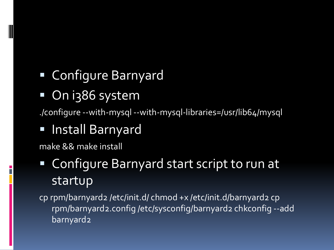# Configure Barnyard

On i386 system

./configure --with-mysql --with-mysql-libraries=/usr/lib64/mysql

# Install Barnyard

make && make install

# Configure Barnyard start script to run at startup

cp rpm/barnyard2 /etc/init.d/ chmod +x /etc/init.d/barnyard2 cp rpm/barnyard2.config /etc/sysconfig/barnyard2 chkconfig --add barnyard2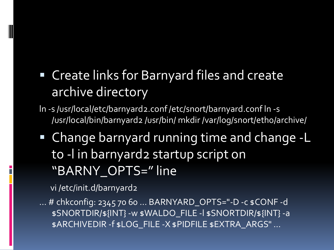# • Create links for Barnyard files and create archive directory

- In -s /usr/local/etc/barnyard2.conf/etc/snort/barnyard.conf In -s /usr/local/bin/barnyard2 /usr/bin/ mkdir /var/log/snort/etho/archive/
- Change barnyard running time and change -L to -I in barnyard2 startup script on "BARNY OPTS=" line

vi /etc/init.d/barnyard2

... # chkconfig: 2345 70 60 ... BARNYARD\_OPTS="-D -c \$CONF -d \$SNORTDIR/\${INT} -w \$WALDO\_FILE -I \$SNORTDIR/\${INT} -a \$ARCHIVEDIR -f \$LOG\_FILE -X \$PIDFILE \$EXTRA\_ARGS" ...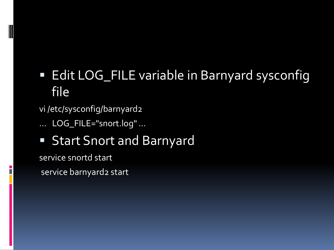# **Edit LOG\_FILE variable in Barnyard sysconfig** file

vi /etc/sysconfig/barnyard2

... LOG\_FILE="snort.log" ...

**Start Snort and Barnyard** 

service snortd start

service barnyard2 start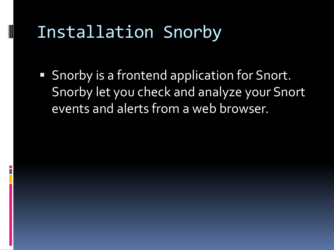# Installation Snorby

**Snorby is a frontend application for Snort.** Snorby let you check and analyze your Snort events and alerts from a web browser.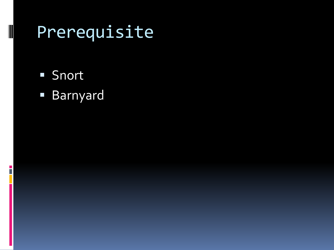# Prerequisite

**Snort** 

i<br>T

Barnyard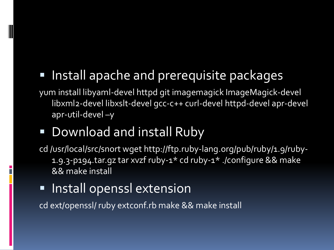# Install apache and prerequisite packages

yum install libyaml-devel httpd git imagemagick ImageMagick-devel libxml2-devel libxslt-devel gcc-c++ curl-devel httpd-devel apr-devel apr-util-devel –y

# **Download and install Ruby**

- cd /usr/local/src/snort wget http://ftp.ruby-lang.org/pub/ruby/1.9/ruby-1.9.3-p194.tar.gz tar xvzf ruby-1\* cd ruby-1\* ./configure && make && make install
- **Install openssl extension**

cd ext/openssl/ ruby extconf.rb make && make install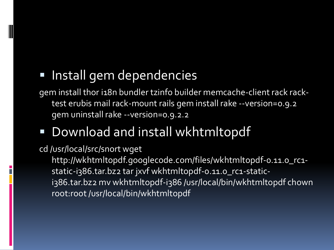## Install gem dependencies

gem install thor i18n bundler tzinfo builder memcache-client rack racktest erubis mail rack-mount rails gem install rake --version=0.9.2 gem uninstall rake --version=0.9.2.2

# Download and install wkhtmltopdf

#### cd /usr/local/src/snort wget

http://wkhtmltopdf.googlecode.com/files/wkhtmltopdf-0.11.0\_rc1 static-i386.tar.bz2 tar jxvf wkhtmltopdf-0.11.0\_rc1-statici386.tar.bz2 mv wkhtmltopdf-i386 /usr/local/bin/wkhtmltopdf chown root:root /usr/local/bin/wkhtmltopdf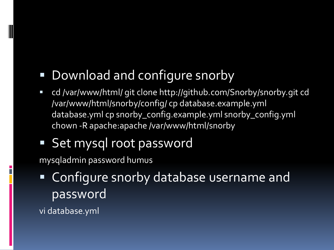# Download and configure snorby

- cd /var/www/html/ git clone http://github.com/Snorby/snorby.git cd /var/www/html/snorby/config/ cp database.example.yml database.yml cp snorby\_config.example.yml snorby\_config.yml chown -R apache:apache /var/www/html/snorby
- Set mysql root password

mysqladmin password humus

 Configure snorby database username and password

vi database.yml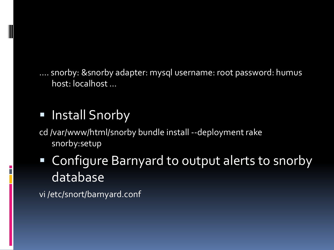.... snorby: &snorby adapter: mysql username: root password: humus host: localhost ...

# **Install Snorby**

cd /var/www/html/snorby bundle install --deployment rake snorby:setup

# Configure Barnyard to output alerts to snorby database

vi /etc/snort/barnyard.conf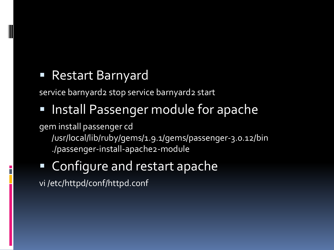### Restart Barnyard

service barnyard2 stop service barnyard2 start

# Install Passenger module for apache

gem install passenger cd /usr/local/lib/ruby/gems/1.9.1/gems/passenger-3.0.12/bin ./passenger-install-apache2-module

# Configure and restart apache

vi /etc/httpd/conf/httpd.conf